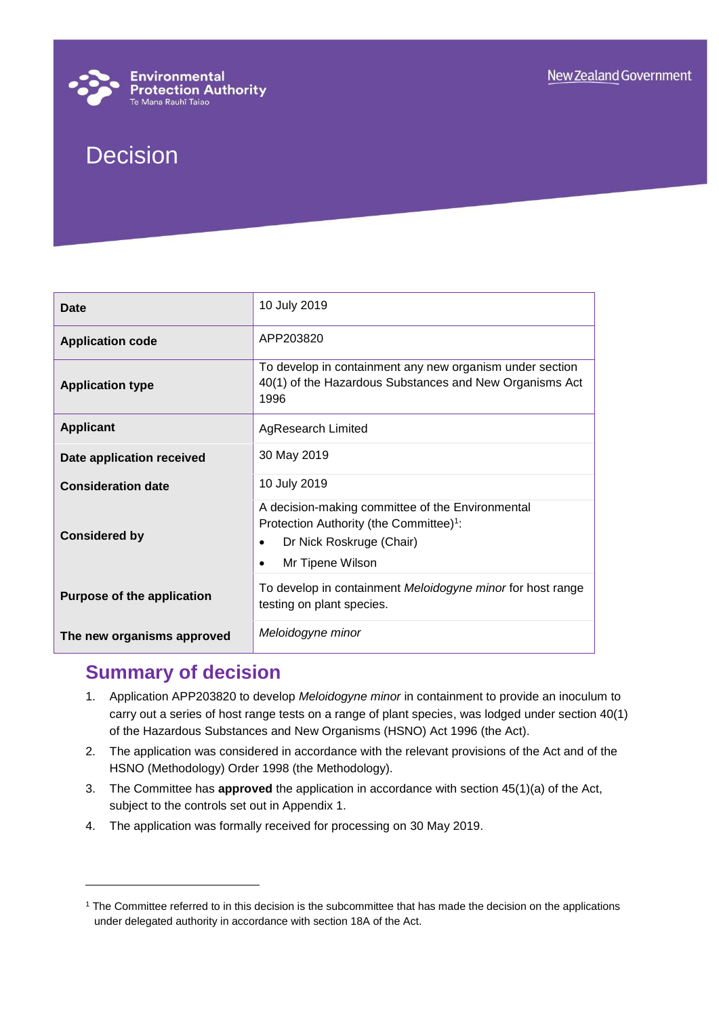

# Decision

| Date                              | 10 July 2019                                                                                                                                                         |
|-----------------------------------|----------------------------------------------------------------------------------------------------------------------------------------------------------------------|
| <b>Application code</b>           | APP203820                                                                                                                                                            |
| <b>Application type</b>           | To develop in containment any new organism under section<br>40(1) of the Hazardous Substances and New Organisms Act<br>1996                                          |
| <b>Applicant</b>                  | <b>AgResearch Limited</b>                                                                                                                                            |
| Date application received         | 30 May 2019                                                                                                                                                          |
| <b>Consideration date</b>         | 10 July 2019                                                                                                                                                         |
| <b>Considered by</b>              | A decision-making committee of the Environmental<br>Protection Authority (the Committee) <sup>1</sup> :<br>Dr Nick Roskruge (Chair)<br>Mr Tipene Wilson<br>$\bullet$ |
| <b>Purpose of the application</b> | To develop in containment Meloidogyne minor for host range<br>testing on plant species.                                                                              |
| The new organisms approved        | Meloidogyne minor                                                                                                                                                    |

## **Summary of decision**

l

- 1. Application APP203820 to develop *Meloidogyne minor* in containment to provide an inoculum to carry out a series of host range tests on a range of plant species, was lodged under section 40(1) of the Hazardous Substances and New Organisms (HSNO) Act 1996 (the Act).
- 2. The application was considered in accordance with the relevant provisions of the Act and of the HSNO (Methodology) Order 1998 (the Methodology).
- 3. The Committee has **approved** the application in accordance with section 45(1)(a) of the Act, subject to the controls set out in Appendix 1.
- 4. The application was formally received for processing on 30 May 2019.

<sup>&</sup>lt;sup>1</sup> The Committee referred to in this decision is the subcommittee that has made the decision on the applications under delegated authority in accordance with section 18A of the Act.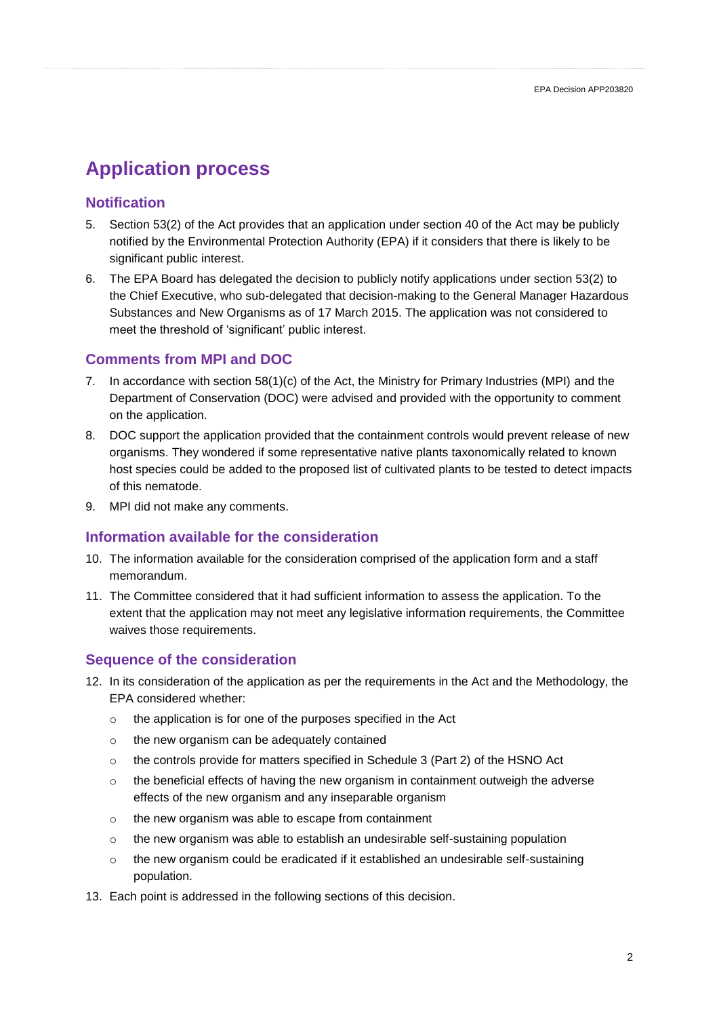# **Application process**

## **Notification**

- 5. Section 53(2) of the Act provides that an application under section 40 of the Act may be publicly notified by the Environmental Protection Authority (EPA) if it considers that there is likely to be significant public interest.
- 6. The EPA Board has delegated the decision to publicly notify applications under section 53(2) to the Chief Executive, who sub-delegated that decision-making to the General Manager Hazardous Substances and New Organisms as of 17 March 2015. The application was not considered to meet the threshold of 'significant' public interest.

## **Comments from MPI and DOC**

- 7. In accordance with section 58(1)(c) of the Act, the Ministry for Primary Industries (MPI) and the Department of Conservation (DOC) were advised and provided with the opportunity to comment on the application.
- 8. DOC support the application provided that the containment controls would prevent release of new organisms. They wondered if some representative native plants taxonomically related to known host species could be added to the proposed list of cultivated plants to be tested to detect impacts of this nematode.
- 9. MPI did not make any comments.

## **Information available for the consideration**

- 10. The information available for the consideration comprised of the application form and a staff memorandum.
- 11. The Committee considered that it had sufficient information to assess the application. To the extent that the application may not meet any legislative information requirements, the Committee waives those requirements.

## **Sequence of the consideration**

- 12. In its consideration of the application as per the requirements in the Act and the Methodology, the EPA considered whether:
	- o the application is for one of the purposes specified in the Act
	- o the new organism can be adequately contained
	- $\circ$  the controls provide for matters specified in Schedule 3 (Part 2) of the HSNO Act
	- $\circ$  the beneficial effects of having the new organism in containment outweigh the adverse effects of the new organism and any inseparable organism
	- o the new organism was able to escape from containment
	- $\circ$  the new organism was able to establish an undesirable self-sustaining population
	- $\circ$  the new organism could be eradicated if it established an undesirable self-sustaining population.
- 13. Each point is addressed in the following sections of this decision.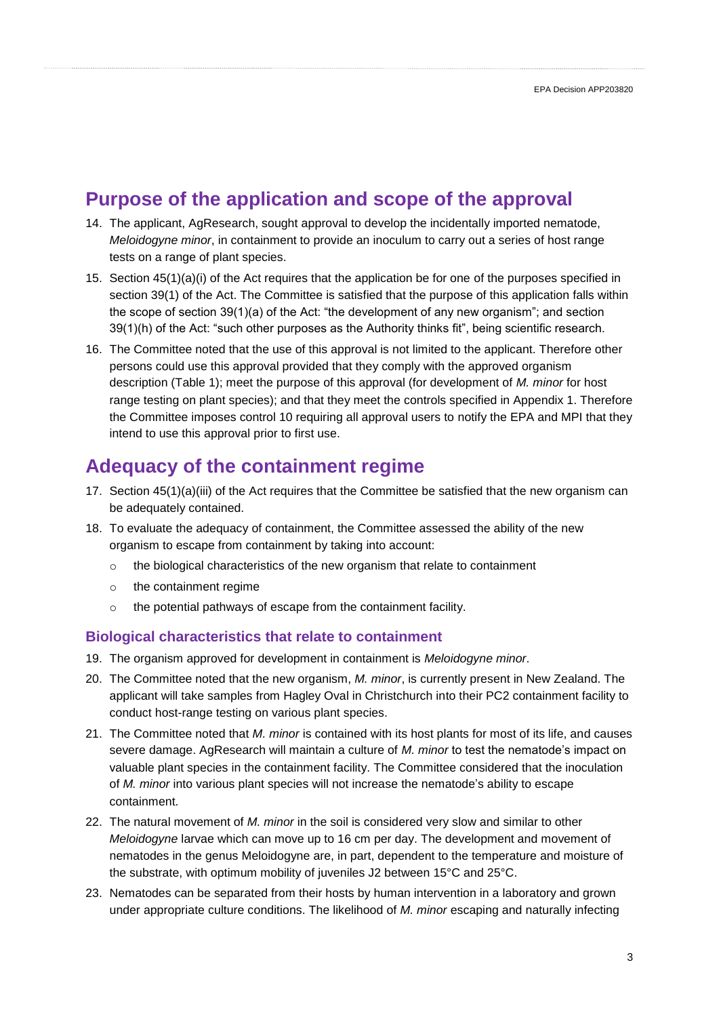## **Purpose of the application and scope of the approval**

- 14. The applicant, AgResearch, sought approval to develop the incidentally imported nematode, *Meloidogyne minor*, in containment to provide an inoculum to carry out a series of host range tests on a range of plant species.
- 15. Section 45(1)(a)(i) of the Act requires that the application be for one of the purposes specified in section 39(1) of the Act. The Committee is satisfied that the purpose of this application falls within the scope of section 39(1)(a) of the Act: "the development of any new organism"; and section 39(1)(h) of the Act: "such other purposes as the Authority thinks fit", being scientific research.
- 16. The Committee noted that the use of this approval is not limited to the applicant. Therefore other persons could use this approval provided that they comply with the approved organism description (Table 1); meet the purpose of this approval (for development of *M. minor* for host range testing on plant species); and that they meet the controls specified in Appendix 1. Therefore the Committee imposes control 10 requiring all approval users to notify the EPA and MPI that they intend to use this approval prior to first use.

## **Adequacy of the containment regime**

- 17. Section 45(1)(a)(iii) of the Act requires that the Committee be satisfied that the new organism can be adequately contained.
- 18. To evaluate the adequacy of containment, the Committee assessed the ability of the new organism to escape from containment by taking into account:
	- o the biological characteristics of the new organism that relate to containment
	- o the containment regime
	- o the potential pathways of escape from the containment facility.

## **Biological characteristics that relate to containment**

- 19. The organism approved for development in containment is *Meloidogyne minor*.
- 20. The Committee noted that the new organism, *M. minor*, is currently present in New Zealand. The applicant will take samples from Hagley Oval in Christchurch into their PC2 containment facility to conduct host-range testing on various plant species.
- 21. The Committee noted that *M. minor* is contained with its host plants for most of its life, and causes severe damage. AgResearch will maintain a culture of *M. minor* to test the nematode's impact on valuable plant species in the containment facility. The Committee considered that the inoculation of *M. minor* into various plant species will not increase the nematode's ability to escape containment.
- 22. The natural movement of *M. minor* in the soil is considered very slow and similar to other *Meloidogyne* larvae which can move up to 16 cm per day. The development and movement of nematodes in the genus Meloidogyne are, in part, dependent to the temperature and moisture of the substrate, with optimum mobility of juveniles J2 between 15°C and 25°C.
- 23. Nematodes can be separated from their hosts by human intervention in a laboratory and grown under appropriate culture conditions. The likelihood of *M. minor* escaping and naturally infecting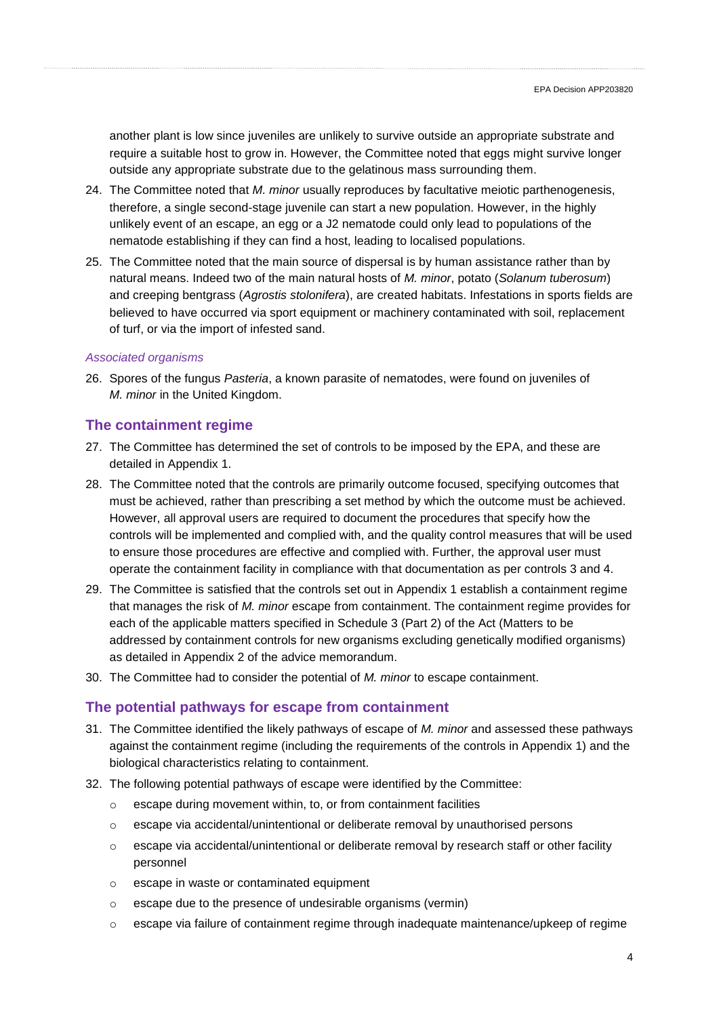another plant is low since juveniles are unlikely to survive outside an appropriate substrate and require a suitable host to grow in. However, the Committee noted that eggs might survive longer outside any appropriate substrate due to the gelatinous mass surrounding them.

- 24. The Committee noted that *M. minor* usually reproduces by facultative meiotic parthenogenesis, therefore, a single second-stage juvenile can start a new population. However, in the highly unlikely event of an escape, an egg or a J2 nematode could only lead to populations of the nematode establishing if they can find a host, leading to localised populations.
- 25. The Committee noted that the main source of dispersal is by human assistance rather than by natural means. Indeed two of the main natural hosts of *M. minor*, potato (*Solanum tuberosum*) and creeping bentgrass (*Agrostis stolonifera*), are created habitats. Infestations in sports fields are believed to have occurred via sport equipment or machinery contaminated with soil, replacement of turf, or via the import of infested sand.

#### *Associated organisms*

26. Spores of the fungus *Pasteria*, a known parasite of nematodes, were found on juveniles of *M. minor* in the United Kingdom.

## **The containment regime**

- 27. The Committee has determined the set of controls to be imposed by the EPA, and these are detailed in Appendix 1.
- 28. The Committee noted that the controls are primarily outcome focused, specifying outcomes that must be achieved, rather than prescribing a set method by which the outcome must be achieved. However, all approval users are required to document the procedures that specify how the controls will be implemented and complied with, and the quality control measures that will be used to ensure those procedures are effective and complied with. Further, the approval user must operate the containment facility in compliance with that documentation as per controls 3 and 4.
- 29. The Committee is satisfied that the controls set out in Appendix 1 establish a containment regime that manages the risk of *M. minor* escape from containment. The containment regime provides for each of the applicable matters specified in Schedule 3 (Part 2) of the Act (Matters to be addressed by containment controls for new organisms excluding genetically modified organisms) as detailed in Appendix 2 of the advice memorandum.
- 30. The Committee had to consider the potential of *M. minor* to escape containment.

### **The potential pathways for escape from containment**

- 31. The Committee identified the likely pathways of escape of *M. minor* and assessed these pathways against the containment regime (including the requirements of the controls in Appendix 1) and the biological characteristics relating to containment.
- 32. The following potential pathways of escape were identified by the Committee:
	- o escape during movement within, to, or from containment facilities
	- o escape via accidental/unintentional or deliberate removal by unauthorised persons
	- $\circ$  escape via accidental/unintentional or deliberate removal by research staff or other facility personnel
	- o escape in waste or contaminated equipment
	- o escape due to the presence of undesirable organisms (vermin)
	- o escape via failure of containment regime through inadequate maintenance/upkeep of regime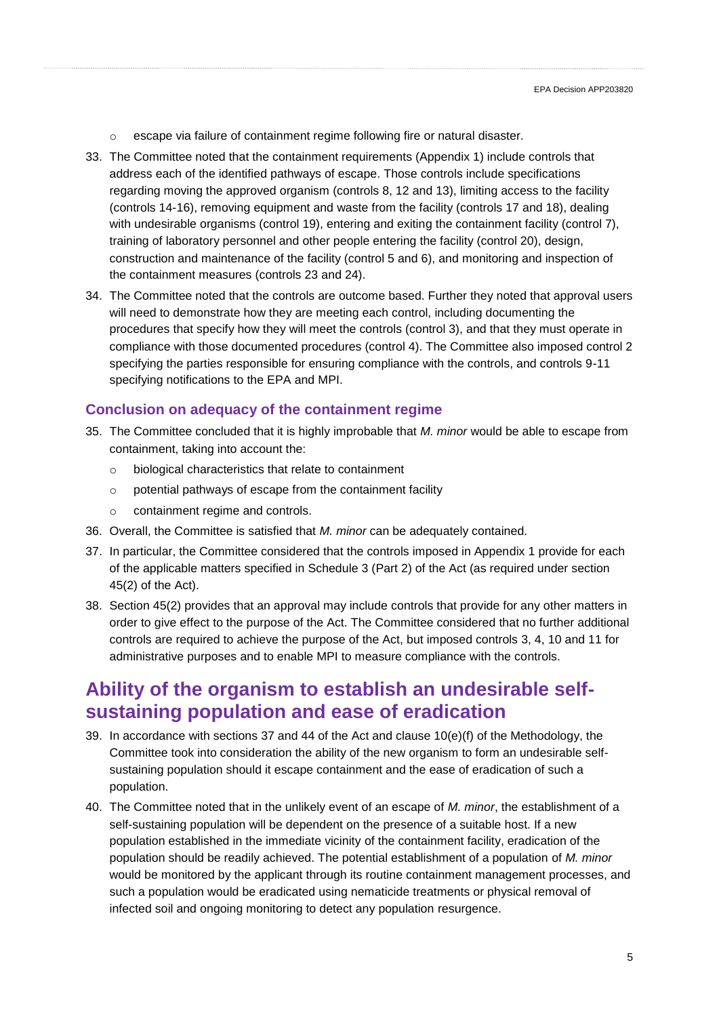- o escape via failure of containment regime following fire or natural disaster.
- 33. The Committee noted that the containment requirements (Appendix 1) include controls that address each of the identified pathways of escape. Those controls include specifications regarding moving the approved organism (controls 8, 12 and 13), limiting access to the facility (controls 14-16), removing equipment and waste from the facility (controls 17 and 18), dealing with undesirable organisms (control 19), entering and exiting the containment facility (control 7), training of laboratory personnel and other people entering the facility (control 20), design, construction and maintenance of the facility (control 5 and 6), and monitoring and inspection of the containment measures (controls 23 and 24).
- 34. The Committee noted that the controls are outcome based. Further they noted that approval users will need to demonstrate how they are meeting each control, including documenting the procedures that specify how they will meet the controls (control 3), and that they must operate in compliance with those documented procedures (control 4). The Committee also imposed control 2 specifying the parties responsible for ensuring compliance with the controls, and controls 9-11 specifying notifications to the EPA and MPI.

## **Conclusion on adequacy of the containment regime**

- 35. The Committee concluded that it is highly improbable that *M. minor* would be able to escape from containment, taking into account the:
	- o biological characteristics that relate to containment
	- o potential pathways of escape from the containment facility
	- o containment regime and controls.
- 36. Overall, the Committee is satisfied that *M. minor* can be adequately contained.
- 37. In particular, the Committee considered that the controls imposed in Appendix 1 provide for each of the applicable matters specified in Schedule 3 (Part 2) of the Act (as required under section 45(2) of the Act).
- 38. Section 45(2) provides that an approval may include controls that provide for any other matters in order to give effect to the purpose of the Act. The Committee considered that no further additional controls are required to achieve the purpose of the Act, but imposed controls 3, 4, 10 and 11 for administrative purposes and to enable MPI to measure compliance with the controls.

## **Ability of the organism to establish an undesirable selfsustaining population and ease of eradication**

- 39. In accordance with sections 37 and 44 of the Act and clause 10(e)(f) of the Methodology, the Committee took into consideration the ability of the new organism to form an undesirable selfsustaining population should it escape containment and the ease of eradication of such a population.
- 40. The Committee noted that in the unlikely event of an escape of *M. minor*, the establishment of a self-sustaining population will be dependent on the presence of a suitable host. If a new population established in the immediate vicinity of the containment facility, eradication of the population should be readily achieved. The potential establishment of a population of *M. minor* would be monitored by the applicant through its routine containment management processes, and such a population would be eradicated using nematicide treatments or physical removal of infected soil and ongoing monitoring to detect any population resurgence.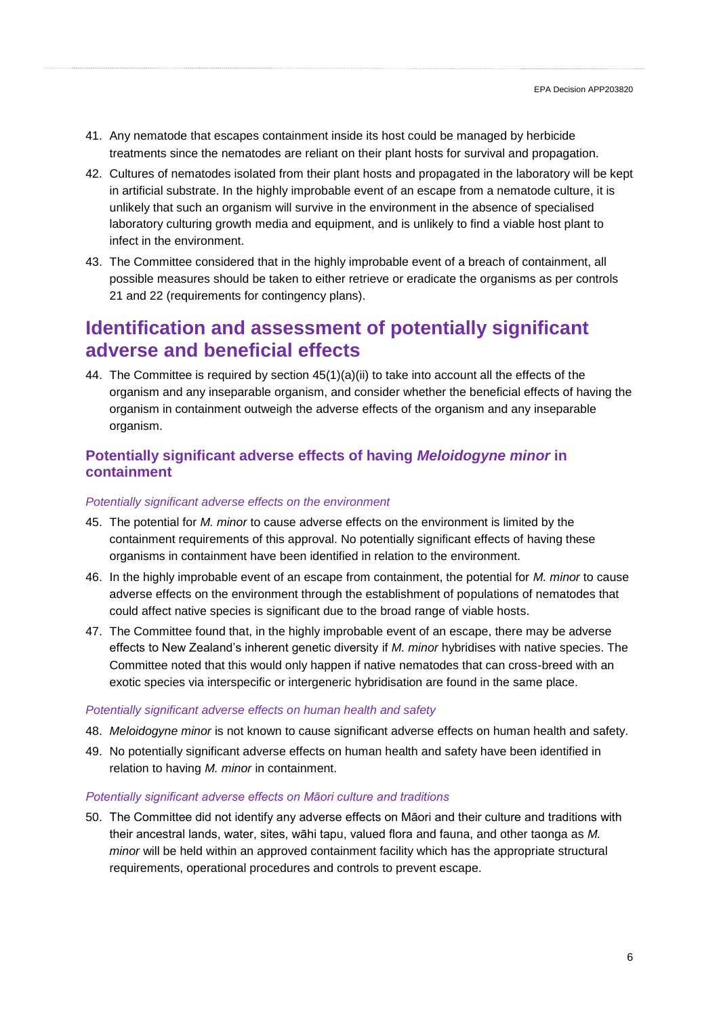- 41. Any nematode that escapes containment inside its host could be managed by herbicide treatments since the nematodes are reliant on their plant hosts for survival and propagation.
- 42. Cultures of nematodes isolated from their plant hosts and propagated in the laboratory will be kept in artificial substrate. In the highly improbable event of an escape from a nematode culture, it is unlikely that such an organism will survive in the environment in the absence of specialised laboratory culturing growth media and equipment, and is unlikely to find a viable host plant to infect in the environment.
- 43. The Committee considered that in the highly improbable event of a breach of containment, all possible measures should be taken to either retrieve or eradicate the organisms as per controls 21 and 22 (requirements for contingency plans).

## **Identification and assessment of potentially significant adverse and beneficial effects**

44. The Committee is required by section  $45(1)(a)(ii)$  to take into account all the effects of the organism and any inseparable organism, and consider whether the beneficial effects of having the organism in containment outweigh the adverse effects of the organism and any inseparable organism.

## **Potentially significant adverse effects of having** *Meloidogyne minor* **in containment**

#### *Potentially significant adverse effects on the environment*

- 45. The potential for *M. minor* to cause adverse effects on the environment is limited by the containment requirements of this approval. No potentially significant effects of having these organisms in containment have been identified in relation to the environment.
- 46. In the highly improbable event of an escape from containment, the potential for *M. minor* to cause adverse effects on the environment through the establishment of populations of nematodes that could affect native species is significant due to the broad range of viable hosts.
- 47. The Committee found that, in the highly improbable event of an escape, there may be adverse effects to New Zealand's inherent genetic diversity if *M. minor* hybridises with native species. The Committee noted that this would only happen if native nematodes that can cross-breed with an exotic species via interspecific or intergeneric hybridisation are found in the same place.

#### *Potentially significant adverse effects on human health and safety*

- 48. *Meloidogyne minor* is not known to cause significant adverse effects on human health and safety.
- 49. No potentially significant adverse effects on human health and safety have been identified in relation to having *M. minor* in containment.

#### *Potentially significant adverse effects on Māori culture and traditions*

50. The Committee did not identify any adverse effects on Māori and their culture and traditions with their ancestral lands, water, sites, wāhi tapu, valued flora and fauna, and other taonga as *M. minor* will be held within an approved containment facility which has the appropriate structural requirements, operational procedures and controls to prevent escape.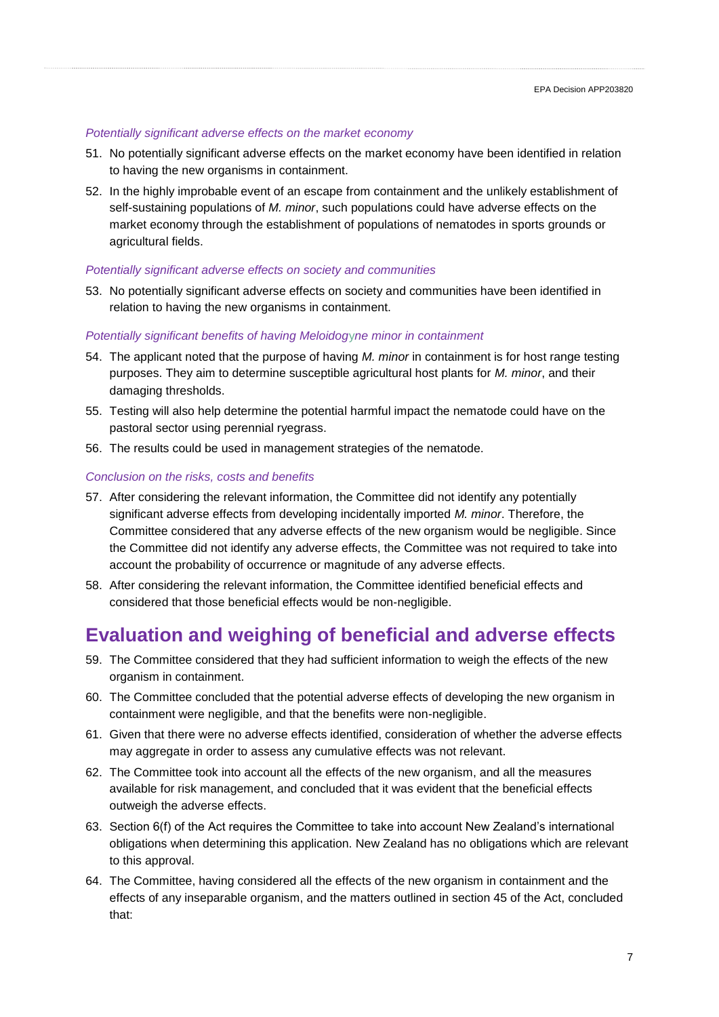#### *Potentially significant adverse effects on the market economy*

- 51. No potentially significant adverse effects on the market economy have been identified in relation to having the new organisms in containment.
- 52. In the highly improbable event of an escape from containment and the unlikely establishment of self-sustaining populations of *M. minor*, such populations could have adverse effects on the market economy through the establishment of populations of nematodes in sports grounds or agricultural fields.

#### *Potentially significant adverse effects on society and communities*

53. No potentially significant adverse effects on society and communities have been identified in relation to having the new organisms in containment.

#### *Potentially significant benefits of having Meloidog*y*ne minor in containment*

- 54. The applicant noted that the purpose of having *M. minor* in containment is for host range testing purposes. They aim to determine susceptible agricultural host plants for *M. minor*, and their damaging thresholds.
- 55. Testing will also help determine the potential harmful impact the nematode could have on the pastoral sector using perennial ryegrass.
- 56. The results could be used in management strategies of the nematode.

#### *Conclusion on the risks, costs and benefits*

- 57. After considering the relevant information, the Committee did not identify any potentially significant adverse effects from developing incidentally imported *M. minor*. Therefore, the Committee considered that any adverse effects of the new organism would be negligible. Since the Committee did not identify any adverse effects, the Committee was not required to take into account the probability of occurrence or magnitude of any adverse effects.
- 58. After considering the relevant information, the Committee identified beneficial effects and considered that those beneficial effects would be non-negligible.

# **Evaluation and weighing of beneficial and adverse effects**

- 59. The Committee considered that they had sufficient information to weigh the effects of the new organism in containment.
- 60. The Committee concluded that the potential adverse effects of developing the new organism in containment were negligible, and that the benefits were non-negligible.
- 61. Given that there were no adverse effects identified, consideration of whether the adverse effects may aggregate in order to assess any cumulative effects was not relevant.
- 62. The Committee took into account all the effects of the new organism, and all the measures available for risk management, and concluded that it was evident that the beneficial effects outweigh the adverse effects.
- 63. Section 6(f) of the Act requires the Committee to take into account New Zealand's international obligations when determining this application. New Zealand has no obligations which are relevant to this approval.
- 64. The Committee, having considered all the effects of the new organism in containment and the effects of any inseparable organism, and the matters outlined in section 45 of the Act, concluded that: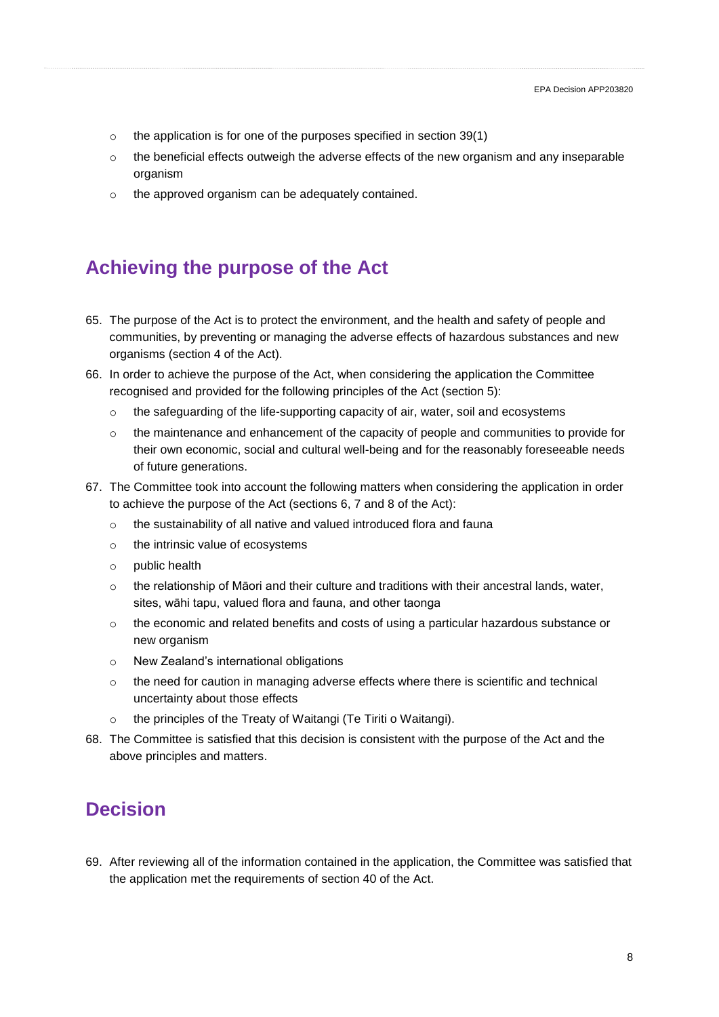- $\circ$  the application is for one of the purposes specified in section 39(1)
- $\circ$  the beneficial effects outweigh the adverse effects of the new organism and any inseparable organism
- o the approved organism can be adequately contained.

# **Achieving the purpose of the Act**

- 65. The purpose of the Act is to protect the environment, and the health and safety of people and communities, by preventing or managing the adverse effects of hazardous substances and new organisms (section 4 of the Act).
- 66. In order to achieve the purpose of the Act, when considering the application the Committee recognised and provided for the following principles of the Act (section 5):
	- $\circ$  the safeguarding of the life-supporting capacity of air, water, soil and ecosystems
	- $\circ$  the maintenance and enhancement of the capacity of people and communities to provide for their own economic, social and cultural well-being and for the reasonably foreseeable needs of future generations.
- 67. The Committee took into account the following matters when considering the application in order to achieve the purpose of the Act (sections 6, 7 and 8 of the Act):
	- o the sustainability of all native and valued introduced flora and fauna
	- o the intrinsic value of ecosystems
	- o public health
	- $\circ$  the relationship of Māori and their culture and traditions with their ancestral lands, water, sites, wāhi tapu, valued flora and fauna, and other taonga
	- $\circ$  the economic and related benefits and costs of using a particular hazardous substance or new organism
	- o New Zealand's international obligations
	- $\circ$  the need for caution in managing adverse effects where there is scientific and technical uncertainty about those effects
	- o the principles of the Treaty of Waitangi (Te Tiriti o Waitangi).
- 68. The Committee is satisfied that this decision is consistent with the purpose of the Act and the above principles and matters.

# **Decision**

69. After reviewing all of the information contained in the application, the Committee was satisfied that the application met the requirements of section 40 of the Act.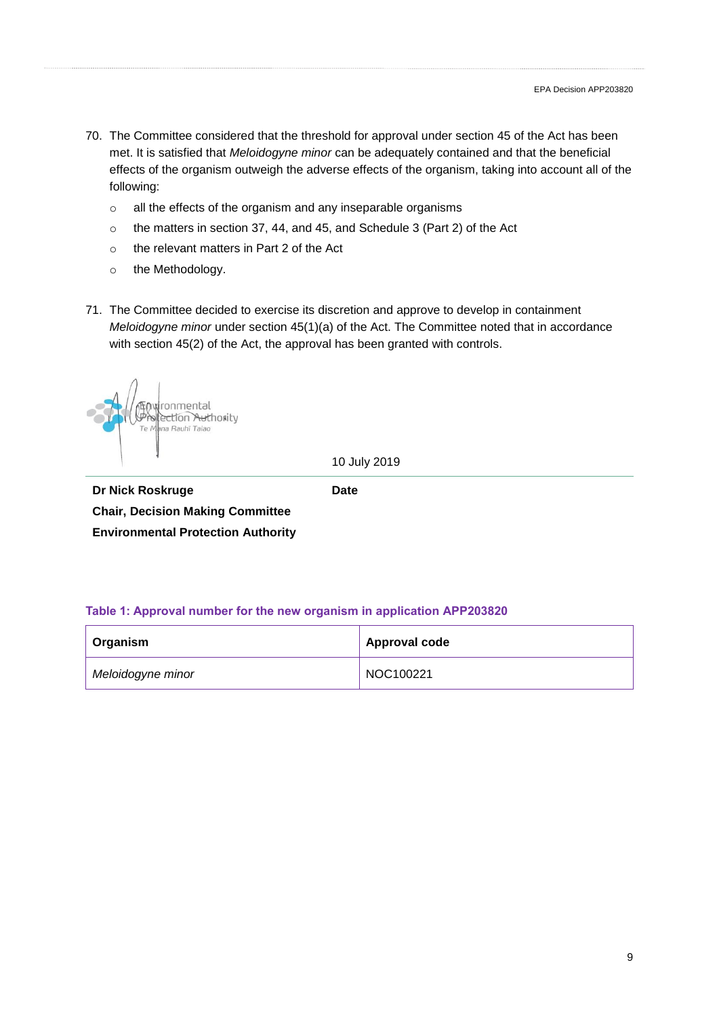- 70. The Committee considered that the threshold for approval under section 45 of the Act has been met. It is satisfied that *Meloidogyne minor* can be adequately contained and that the beneficial effects of the organism outweigh the adverse effects of the organism, taking into account all of the following:
	- o all the effects of the organism and any inseparable organisms
	- o the matters in section 37, 44, and 45, and Schedule 3 (Part 2) of the Act
	- o the relevant matters in Part 2 of the Act
	- o the Methodology.
- 71. The Committee decided to exercise its discretion and approve to develop in containment *Meloidogyne minor* under section 45(1)(a) of the Act. The Committee noted that in accordance with section 45(2) of the Act, the approval has been granted with controls.

ronmental ection Authority na Rauhī Taiao

10 July 2019

**Date**

**Dr Nick Roskruge Chair, Decision Making Committee Environmental Protection Authority**

**Table 1: Approval number for the new organism in application APP203820**

| <b>∣ Organism</b> | <b>Approval code</b> |
|-------------------|----------------------|
| Meloidogyne minor | NOC100221            |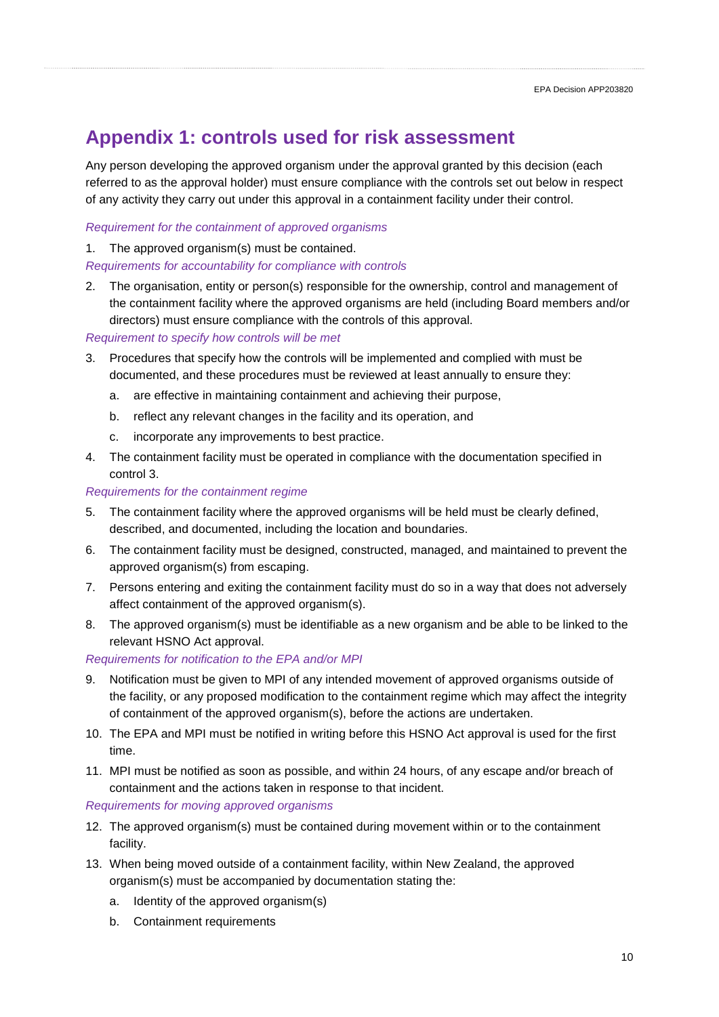# **Appendix 1: controls used for risk assessment**

Any person developing the approved organism under the approval granted by this decision (each referred to as the approval holder) must ensure compliance with the controls set out below in respect of any activity they carry out under this approval in a containment facility under their control.

## *Requirement for the containment of approved organisms*

1. The approved organism(s) must be contained. *Requirements for accountability for compliance with controls*

2. The organisation, entity or person(s) responsible for the ownership, control and management of the containment facility where the approved organisms are held (including Board members and/or directors) must ensure compliance with the controls of this approval.

### *Requirement to specify how controls will be met*

- 3. Procedures that specify how the controls will be implemented and complied with must be documented, and these procedures must be reviewed at least annually to ensure they:
	- a. are effective in maintaining containment and achieving their purpose,
	- b. reflect any relevant changes in the facility and its operation, and
	- c. incorporate any improvements to best practice.
- 4. The containment facility must be operated in compliance with the documentation specified in control 3.

#### *Requirements for the containment regime*

- 5. The containment facility where the approved organisms will be held must be clearly defined, described, and documented, including the location and boundaries.
- 6. The containment facility must be designed, constructed, managed, and maintained to prevent the approved organism(s) from escaping.
- 7. Persons entering and exiting the containment facility must do so in a way that does not adversely affect containment of the approved organism(s).
- 8. The approved organism(s) must be identifiable as a new organism and be able to be linked to the relevant HSNO Act approval.

### *Requirements for notification to the EPA and/or MPI*

- 9. Notification must be given to MPI of any intended movement of approved organisms outside of the facility, or any proposed modification to the containment regime which may affect the integrity of containment of the approved organism(s), before the actions are undertaken.
- 10. The EPA and MPI must be notified in writing before this HSNO Act approval is used for the first time.
- 11. MPI must be notified as soon as possible, and within 24 hours, of any escape and/or breach of containment and the actions taken in response to that incident.

### *Requirements for moving approved organisms*

- 12. The approved organism(s) must be contained during movement within or to the containment facility.
- 13. When being moved outside of a containment facility, within New Zealand, the approved organism(s) must be accompanied by documentation stating the:
	- a. Identity of the approved organism(s)
	- b. Containment requirements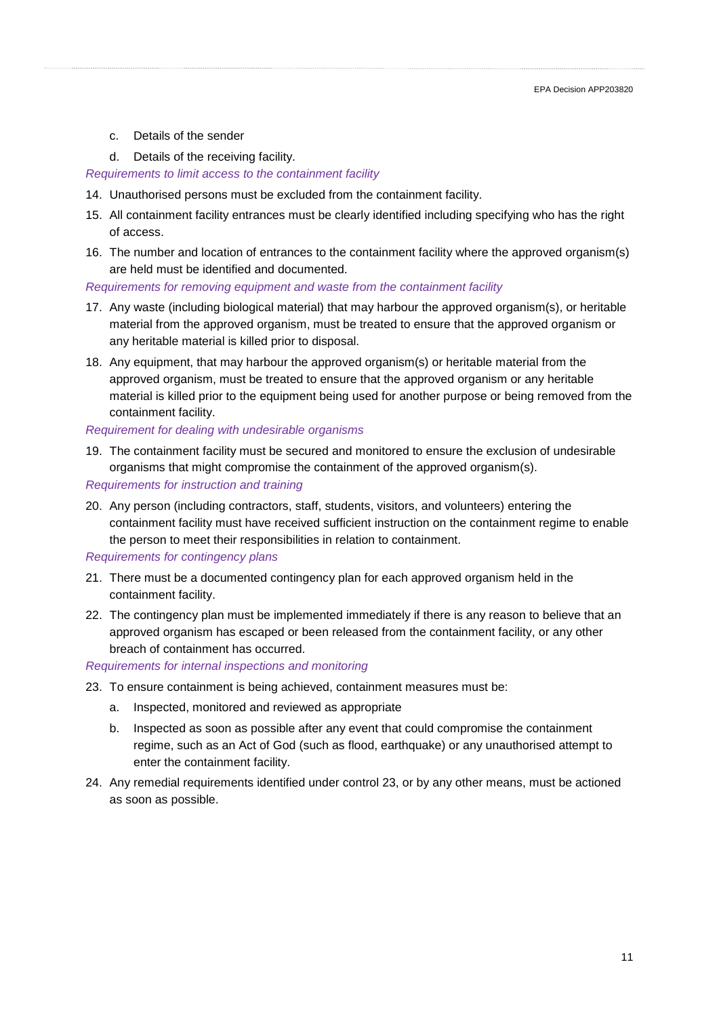- c. Details of the sender
- d. Details of the receiving facility.

#### *Requirements to limit access to the containment facility*

- 14. Unauthorised persons must be excluded from the containment facility.
- 15. All containment facility entrances must be clearly identified including specifying who has the right of access.
- 16. The number and location of entrances to the containment facility where the approved organism(s) are held must be identified and documented.

#### *Requirements for removing equipment and waste from the containment facility*

- 17. Any waste (including biological material) that may harbour the approved organism(s), or heritable material from the approved organism, must be treated to ensure that the approved organism or any heritable material is killed prior to disposal.
- 18. Any equipment, that may harbour the approved organism(s) or heritable material from the approved organism, must be treated to ensure that the approved organism or any heritable material is killed prior to the equipment being used for another purpose or being removed from the containment facility.

#### *Requirement for dealing with undesirable organisms*

19. The containment facility must be secured and monitored to ensure the exclusion of undesirable organisms that might compromise the containment of the approved organism(s).

#### *Requirements for instruction and training*

20. Any person (including contractors, staff, students, visitors, and volunteers) entering the containment facility must have received sufficient instruction on the containment regime to enable the person to meet their responsibilities in relation to containment.

#### *Requirements for contingency plans*

- 21. There must be a documented contingency plan for each approved organism held in the containment facility.
- 22. The contingency plan must be implemented immediately if there is any reason to believe that an approved organism has escaped or been released from the containment facility, or any other breach of containment has occurred.

### *Requirements for internal inspections and monitoring*

- 23. To ensure containment is being achieved, containment measures must be:
	- a. Inspected, monitored and reviewed as appropriate
	- b. Inspected as soon as possible after any event that could compromise the containment regime, such as an Act of God (such as flood, earthquake) or any unauthorised attempt to enter the containment facility.
- 24. Any remedial requirements identified under control 23, or by any other means, must be actioned as soon as possible.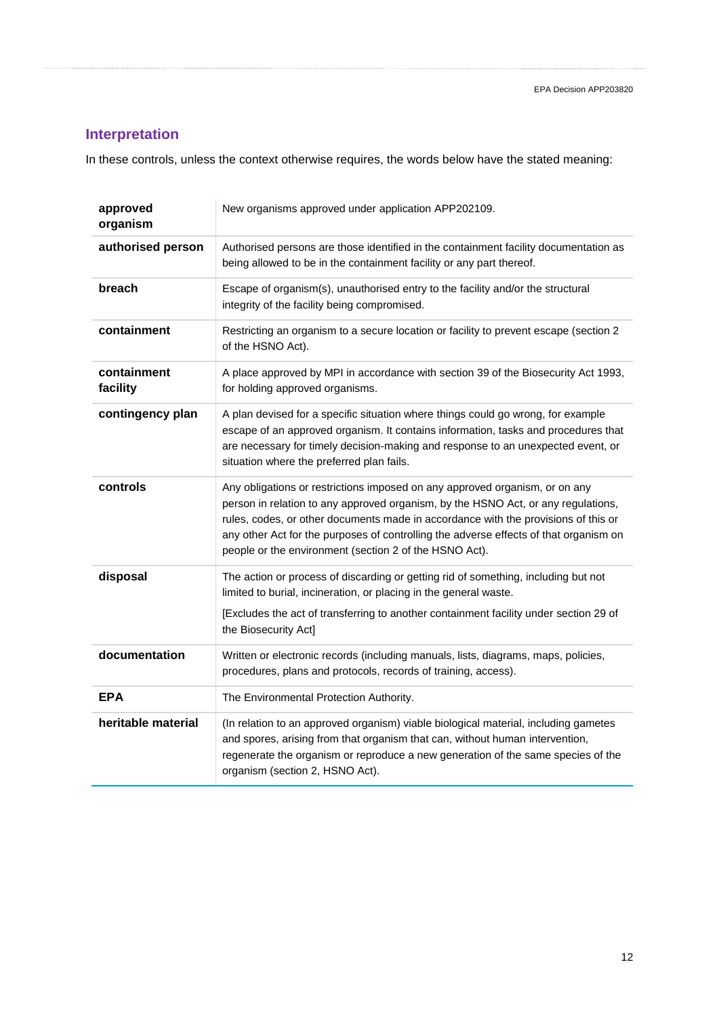## **Interpretation**

In these controls, unless the context otherwise requires, the words below have the stated meaning:

| approved<br>organism    | New organisms approved under application APP202109.                                                                                                                                                                                                                                                                                                                                                       |
|-------------------------|-----------------------------------------------------------------------------------------------------------------------------------------------------------------------------------------------------------------------------------------------------------------------------------------------------------------------------------------------------------------------------------------------------------|
| authorised person       | Authorised persons are those identified in the containment facility documentation as<br>being allowed to be in the containment facility or any part thereof.                                                                                                                                                                                                                                              |
| breach                  | Escape of organism(s), unauthorised entry to the facility and/or the structural<br>integrity of the facility being compromised.                                                                                                                                                                                                                                                                           |
| containment             | Restricting an organism to a secure location or facility to prevent escape (section 2<br>of the HSNO Act).                                                                                                                                                                                                                                                                                                |
| containment<br>facility | A place approved by MPI in accordance with section 39 of the Biosecurity Act 1993,<br>for holding approved organisms.                                                                                                                                                                                                                                                                                     |
| contingency plan        | A plan devised for a specific situation where things could go wrong, for example<br>escape of an approved organism. It contains information, tasks and procedures that<br>are necessary for timely decision-making and response to an unexpected event, or<br>situation where the preferred plan fails.                                                                                                   |
| controls                | Any obligations or restrictions imposed on any approved organism, or on any<br>person in relation to any approved organism, by the HSNO Act, or any regulations,<br>rules, codes, or other documents made in accordance with the provisions of this or<br>any other Act for the purposes of controlling the adverse effects of that organism on<br>people or the environment (section 2 of the HSNO Act). |
| disposal                | The action or process of discarding or getting rid of something, including but not<br>limited to burial, incineration, or placing in the general waste.<br>[Excludes the act of transferring to another containment facility under section 29 of<br>the Biosecurity Act]                                                                                                                                  |
| documentation           | Written or electronic records (including manuals, lists, diagrams, maps, policies,<br>procedures, plans and protocols, records of training, access).                                                                                                                                                                                                                                                      |
| <b>EPA</b>              | The Environmental Protection Authority.                                                                                                                                                                                                                                                                                                                                                                   |
| heritable material      | (In relation to an approved organism) viable biological material, including gametes<br>and spores, arising from that organism that can, without human intervention,<br>regenerate the organism or reproduce a new generation of the same species of the<br>organism (section 2, HSNO Act).                                                                                                                |